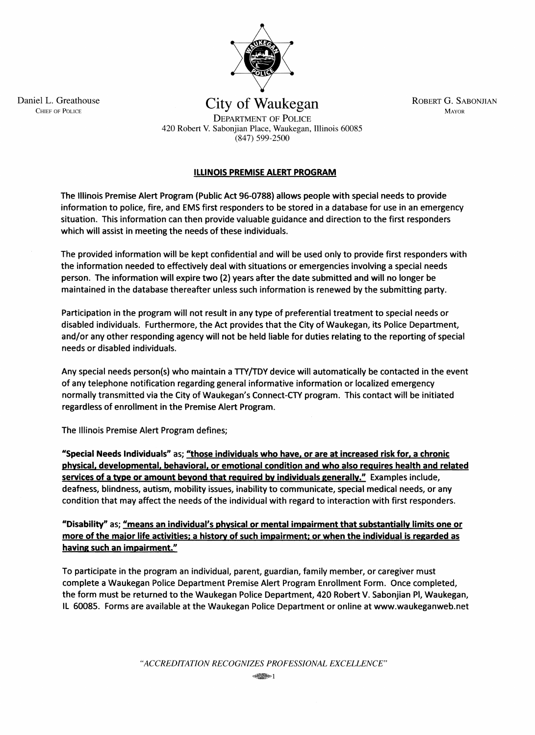

Daniel L. Greathouse City of Waukegan ROBERT G. SABONJIAN CHIEF OF POLICE DEPARTMENT OF POLICE

> 420 Robert V. Sabonjian Place, Waukegan, Illinois 60085 (847) 599-2500

## ILLINOIS PREMISE ALERT PROGRAM

The Illinois Premise Alert Program (Public Act 96-0788) allows people with special needs to provide information to police, fire, and EMS first responders to be stored in a database for use in an emergency situation. This information can then provide valuable guidance and direction to the first responders which will assist in meeting the needs of these individuals.

The provided information will be kept confidential and will be used only to provide first responders with the information needed to effectively deal with situations or emergencies involving a special needs person. The information will expire two (2) years after the date submitted and will no longer be maintained in the database thereafter unless such information is renewed by the submitting party.

Participation in the program will not result in any type of preferential treatment to special needs or disabled individuals. Furthermore, the Act provides that the City of Waukegan, its Police Department, and/or any other responding agency will not be held liable for duties relating to the reporting of special needs or disabled individuals.

Any special needs person(s) who maintain a TTY/TDY device will automatically be contacted in the event of any telephone notification regarding general informative information or localized emergency normally transmitted via the City of Waukegan's Connect-CTY program. This contact will be initiated regardless of enrollment in the Premise Alert Program.

The Illinois Premise Alert Program defines;

"Special Needs Individuals" as; "those individuals who have, or are at increased risk for, a chronic physical. developmental. behavioral. or emotional condition and who also requires health and related services of a type or amount beyond that required by individuals generally." Examples include, deafness, blindness, autism, mobility issues, inability to communicate, special medical needs, or any condition that may affect the needs of the individual with regard to interaction with first responders.

"Disability" as; <u>"means an individual's physical or mental impairment that substantially limits one or</u> more of the major life activities; a history of such impairment; or when the individual is regarded as having such an impairment."

To participate in the program an individual, parent, guardian, family member, or caregiver must complete a Waukegan Police Department Premise Alert Program Enrollment Form. Once completed, the form must be returned to the Waukegan Police Department, 420 Robert V. Sabonjian PI, Waukegan, IL 60085. Forms are available at the Waukegan Police Department or online at www.waukeganweb.net